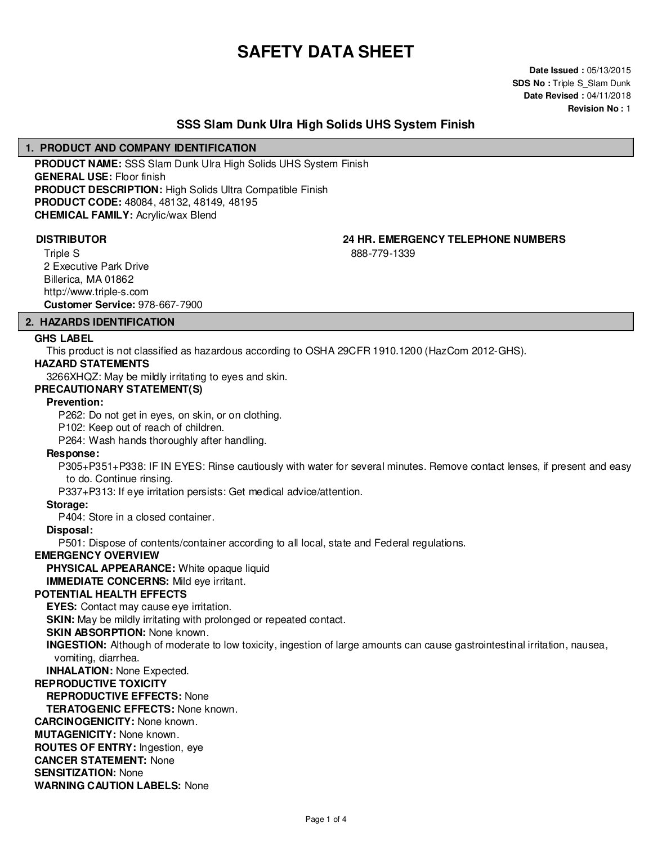# **SAFETY DATA SHEET**

**Date Issued :** 05/13/2015 **SDS No : Triple S\_Slam Dunk Date Revised :** 04/11/2018 **Revision No :** 1

# **SSS Slam Dunk Ulra High Solids UHS System Finish**

### **1. PRODUCT AND COMPANY IDENTIFICATION**

**PRODUCT NAME:** SSS Slam Dunk Ulra High Solids UHS System Finish **GENERAL USE:** Floor finish **PRODUCT DESCRIPTION:** High Solids Ultra Compatible Finish **PRODUCT CODE:** 48084, 48132, 48149, 48195 **CHEMICAL FAMILY:** Acrylic/wax Blend

**DISTRIBUTOR 24 HR. EMERGENCY TELEPHONE NUMBERS**

888-779-1339

Triple S 2 Executive Park Drive Billerica, MA 01862 http://www.triple-s.com **Customer Service:** 978-667-7900

#### **2. HAZARDS IDENTIFICATION**

#### **GHS LABEL**

This product is not classified as hazardous according to OSHA 29CFR 1910.1200 (HazCom 2012-GHS).

#### **HAZARD STATEMENTS**

3266XHQZ: May be mildly irritating to eyes and skin.

#### **PRECAUTIONARY STATEMENT(S)**

#### **Prevention:**

P262: Do not get in eyes, on skin, or on clothing.

P102: Keep out of reach of children.

P264: Wash hands thoroughly after handling.

#### **Response:**

P305+P351+P338: IF IN EYES: Rinse cautiously with water for several minutes. Remove contact lenses, if present and easy to do. Continue rinsing.

P337+P313: If eye irritation persists: Get medical advice/attention.

#### **Storage:**

P404: Store in a closed container.

#### **Disposal:**

P501: Dispose of contents/container according to all local, state and Federal regulations.

# **EMERGENCY OVERVIEW**

**PHYSICAL APPEARANCE:** White opaque liquid

**IMMEDIATE CONCERNS:** Mild eye irritant.

# **POTENTIAL HEALTH EFFECTS**

**EYES:** Contact may cause eye irritation.

**SKIN:** May be mildly irritating with prolonged or repeated contact.

# **SKIN ABSORPTION:** None known.

**INGESTION:** Although of moderate to low toxicity, ingestion of large amounts can cause gastrointestinal irritation, nausea, vomiting, diarrhea.

**INHALATION:** None Expected.

### **REPRODUCTIVE TOXICITY**

**REPRODUCTIVE EFFECTS:** None

**TERATOGENIC EFFECTS:** None known.

**CARCINOGENICITY:** None known.

**MUTAGENICITY:** None known.

**ROUTES OF ENTRY:** Ingestion, eye

**CANCER STATEMENT:** None

**SENSITIZATION:** None

**WARNING CAUTION LABELS:** None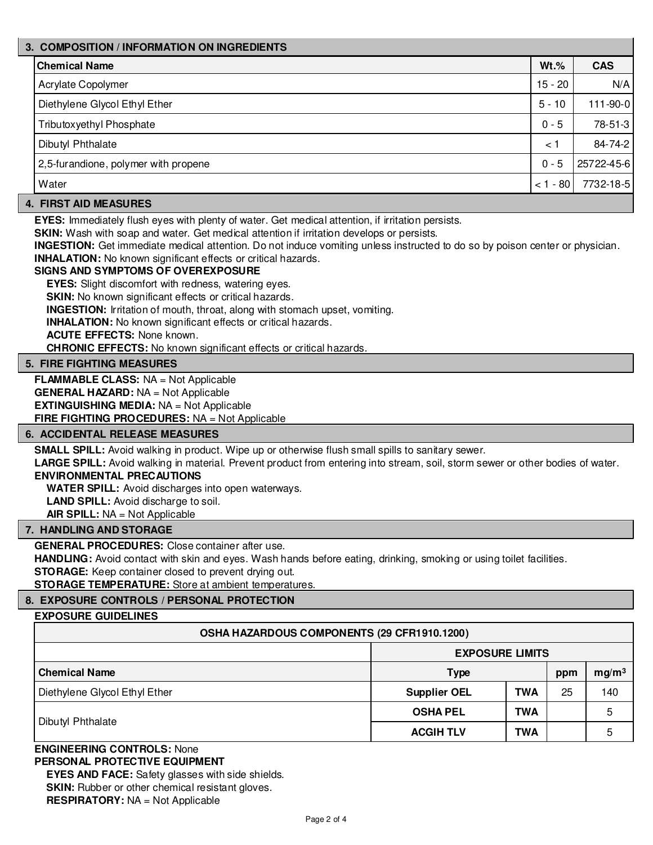# **3. COMPOSITION / INFORMATION ON INGREDIENTS Chemical Name Wt.% CAS** Acrylate Copolymer **15 - 20 N/A** Diethylene Glycol Ethyl Ether 5 - 10 111-90-0 Tributoxyethyl Phosphate 28-51-3 Dibutyl Phthalate  $\vert$  34-74-2 2,5-furandione, polymer with propene 0 - 5 25722-45-6 Water < 1 - 80 7732-18-5

# **4. FIRST AID MEASURES**

**EYES:** Immediately flush eyes with plenty of water. Get medical attention, if irritation persists.

**SKIN:** Wash with soap and water. Get medical attention if irritation develops or persists.

**INGESTION:** Get immediate medical attention. Do not induce vomiting unless instructed to do so by poison center or physician. **INHALATION:** No known significant effects or critical hazards.

### **SIGNS AND SYMPTOMS OF OVEREXPOSURE**

**EYES:** Slight discomfort with redness, watering eyes.

**SKIN:** No known significant effects or critical hazards.

**INGESTION:** Irritation of mouth, throat, along with stomach upset, vomiting.

**INHALATION:** No known significant effects or critical hazards.

**ACUTE EFFECTS:** None known.

**CHRONIC EFFECTS:** No known significant effects or critical hazards.

### **5. FIRE FIGHTING MEASURES**

**FLAMMABLE CLASS:** NA = Not Applicable **GENERAL HAZARD:** NA = Not Applicable **EXTINGUISHING MEDIA:** NA = Not Applicable **FIRE FIGHTING PROCEDURES:** NA = Not Applicable

#### **6. ACCIDENTAL RELEASE MEASURES**

**SMALL SPILL:** Avoid walking in product. Wipe up or otherwise flush small spills to sanitary sewer.

**LARGE SPILL:** Avoid walking in material. Prevent product from entering into stream, soil, storm sewer or other bodies of water. **ENVIRONMENTAL PRECAUTIONS**

**WATER SPILL:** Avoid discharges into open waterways.

**LAND SPILL:** Avoid discharge to soil.

**AIR SPILL:** NA = Not Applicable

#### **7. HANDLING AND STORAGE**

**GENERAL PROCEDURES:** Close container after use.

**HANDLING:** Avoid contact with skin and eyes. Wash hands before eating, drinking, smoking or using toilet facilities.

**STORAGE:** Keep container closed to prevent drying out.

**STORAGE TEMPERATURE:** Store at ambient temperatures.

# **8. EXPOSURE CONTROLS / PERSONAL PROTECTION**

# **EXPOSURE GUIDELINES**

#### **OSHA HAZARDOUS COMPONENTS (29 CFR1910.1200)**

|                               | <b>EXPOSURE LIMITS</b> |            |     |                   |
|-------------------------------|------------------------|------------|-----|-------------------|
| <b>Chemical Name</b>          | <b>Type</b>            |            | ppm | mg/m <sup>3</sup> |
| Diethylene Glycol Ethyl Ether | <b>Supplier OEL</b>    | <b>TWA</b> | 25  | 140               |
| Dibutyl Phthalate             | <b>OSHA PEL</b>        | <b>TWA</b> |     | 5                 |
|                               | <b>ACGIH TLV</b>       | <b>TWA</b> |     | 5                 |

#### **ENGINEERING CONTROLS:** None **PERSONAL PROTECTIVE EQUIPMENT**

**EYES AND FACE:** Safety glasses with side shields. **SKIN:** Rubber or other chemical resistant gloves.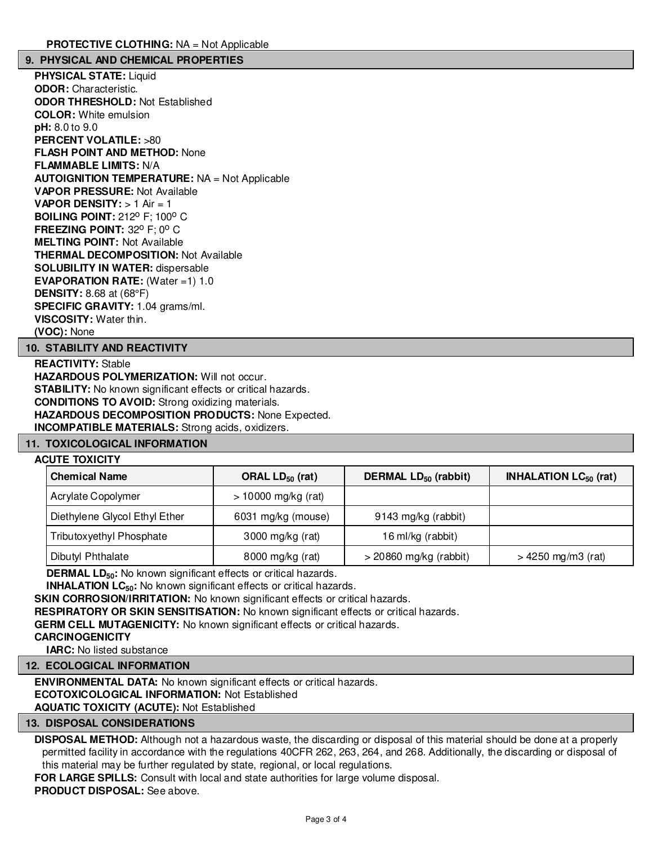### **9. PHYSICAL AND CHEMICAL PROPERTIES**

**PHYSICAL STATE:** Liquid **ODOR:** Characteristic. **ODOR THRESHOLD:** Not Established **COLOR:** White emulsion **pH:** 8.0 to 9.0 **PERCENT VOLATILE:** >80 **FLASH POINT AND METHOD:** None **FLAMMABLE LIMITS:** N/A **AUTOIGNITION TEMPERATURE:** NA = Not Applicable **VAPOR PRESSURE:** Not Available **VAPOR DENSITY:** > 1 Air = 1 **BOILING POINT: 212° F; 100° C FREEZING POINT: 32° F; 0° C MELTING POINT:** Not Available **THERMAL DECOMPOSITION:** Not Available **SOLUBILITY IN WATER:** dispersable **EVAPORATION RATE:** (Water =1) 1.0 **DENSITY:** 8.68 at (68°F) **SPECIFIC GRAVITY:** 1.04 grams/ml. **VISCOSITY:** Water thin. **(VOC):** None

#### **10. STABILITY AND REACTIVITY**

**REACTIVITY:** Stable **HAZARDOUS POLYMERIZATION: Will not occur. STABILITY:** No known significant effects or critical hazards. **CONDITIONS TO AVOID:** Strong oxidizing materials. **HAZARDOUS DECOMPOSITION PRODUCTS:** None Expected. **INCOMPATIBLE MATERIALS:** Strong acids, oxidizers.

#### **11. TOXICOLOGICAL INFORMATION**

#### **ACUTE TOXICITY**

| <b>Chemical Name</b>          | ORAL $LD_{50}$ (rat)  | DERMAL LD <sub>50</sub> (rabbit) | <b>INHALATION LC<math>_{50}</math> (rat)</b> |
|-------------------------------|-----------------------|----------------------------------|----------------------------------------------|
| Acrylate Copolymer            | $> 10000$ mg/kg (rat) |                                  |                                              |
| Diethylene Glycol Ethyl Ether | 6031 mg/kg (mouse)    | 9143 mg/kg (rabbit)              |                                              |
| Tributoxyethyl Phosphate      | 3000 mg/kg (rat)      | 16 ml/kg (rabbit)                |                                              |
| Dibutyl Phthalate             | 8000 mg/kg (rat)      | $>$ 20860 mg/kg (rabbit)         | $> 4250$ mg/m3 (rat)                         |

**DERMAL LD**<sub>50</sub>: No known significant effects or critical hazards.

**INHALATION LC<sub>50</sub>:** No known significant effects or critical hazards.

**SKIN CORROSION/IRRITATION:** No known significant effects or critical hazards.

**RESPIRATORY OR SKIN SENSITISATION:** No known significant effects or critical hazards.

**GERM CELL MUTAGENICITY:** No known significant effects or critical hazards.

**CARCINOGENICITY**

**IARC:** No listed substance

**12. ECOLOGICAL INFORMATION**

**ENVIRONMENTAL DATA:** No known significant effects or critical hazards. **ECOTOXICOLOGICAL INFORMATION:** Not Established

**AQUATIC TOXICITY (ACUTE):** Not Established

#### **13. DISPOSAL CONSIDERATIONS**

**DISPOSAL METHOD:** Although not a hazardous waste, the discarding or disposal of this material should be done at a properly permitted facility in accordance with the regulations 40CFR 262, 263, 264, and 268. Additionally, the discarding or disposal of this material may be further regulated by state, regional, or local regulations.

**FOR LARGE SPILLS:** Consult with local and state authorities for large volume disposal. **PRODUCT DISPOSAL:** See above.